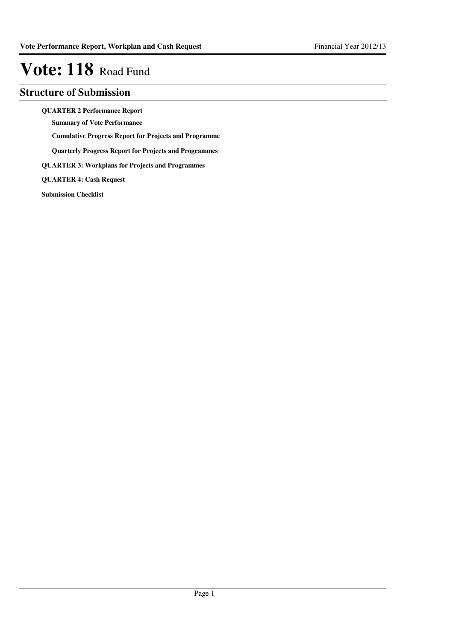## **Structure of Submission**

**QUARTER 2 Performance Report**

**Summary of Vote Performance**

**Cumulative Progress Report for Projects and Programme**

**Quarterly Progress Report for Projects and Programmes**

**QUARTER 3: Workplans for Projects and Programmes**

**QUARTER 4: Cash Request**

**Submission Checklist**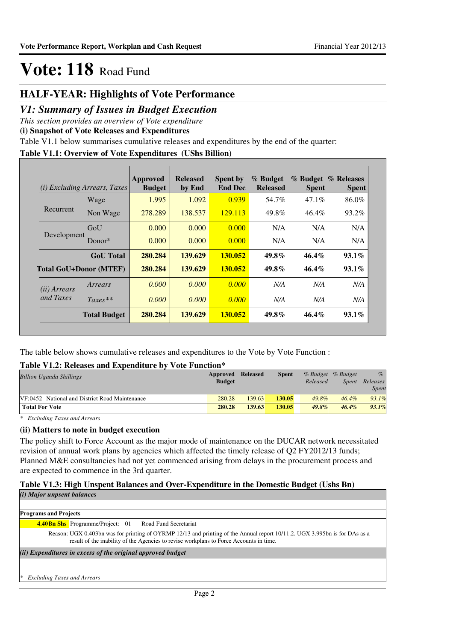## **HALF-YEAR: Highlights of Vote Performance**

## *V1: Summary of Issues in Budget Execution*

*This section provides an overview of Vote expenditure* 

**(i) Snapshot of Vote Releases and Expenditures**

Table V1.1 below summarises cumulative releases and expenditures by the end of the quarter:

### **Table V1.1: Overview of Vote Expenditures (UShs Billion)**

| (i)                   | <i>Excluding Arrears, Taxes</i> | Approved<br><b>Budget</b> | <b>Released</b><br>by End | <b>Spent by</b><br><b>End Dec</b> | % Budget<br><b>Released</b> | <b>Spent</b> | % Budget % Releases<br><b>Spent</b> |
|-----------------------|---------------------------------|---------------------------|---------------------------|-----------------------------------|-----------------------------|--------------|-------------------------------------|
|                       | Wage                            | 1.995                     | 1.092                     | 0.939                             | 54.7%                       | $47.1\%$     | 86.0%                               |
| Recurrent             | Non Wage                        | 278.289                   | 138.537                   | 129.113                           | 49.8%                       | $46.4\%$     | 93.2%                               |
| Development           | GoU                             | 0.000                     | 0.000                     | 0.000                             | N/A                         | N/A          | N/A                                 |
|                       | Donor*                          | 0.000                     | 0.000                     | 0.000                             | N/A                         | N/A          | N/A                                 |
|                       | <b>GoU</b> Total                | 280.284                   | 139.629                   | 130.052                           | 49.8%                       | $46.4\%$     | $93.1\%$                            |
|                       | <b>Total GoU+Donor (MTEF)</b>   | 280.284                   | 139.629                   | 130.052                           | 49.8%                       | $46.4\%$     | $93.1\%$                            |
| ( <i>ii</i> ) Arrears | Arrears                         | 0.000                     | 0.000                     | 0.000                             | N/A                         | N/A          | N/A                                 |
| and Taxes             | $Taxes**$                       | 0.000                     | 0.000                     | 0.000                             | N/A                         | N/A          | N/A                                 |
|                       | <b>Total Budget</b>             | 280.284                   | 139.629                   | 130.052                           | $49.8\%$                    | $46.4\%$     | $93.1\%$                            |

The table below shows cumulative releases and expenditures to the Vote by Vote Function :

### **Table V1.2: Releases and Expenditure by Vote Function\***

| <b>Billion Uganda Shillings</b>                | Approved<br><b>Budget</b> | Released | <b>Spent</b> | Released | % Budget % Budget<br>Spent | $\%$<br>Releases<br><b>Spent</b> |
|------------------------------------------------|---------------------------|----------|--------------|----------|----------------------------|----------------------------------|
| VF:0452 National and District Road Maintenance | 280.28                    | 139.63   | 130.05       | 49.8%    | $46.4\%$                   | 93.1%                            |
| <b>Total For Vote</b>                          | 280.28                    | 139.63   | 130.05       | $49.8\%$ | 46.4%                      | 93.1%                            |

*\* Excluding Taxes and Arrears*

#### **(ii) Matters to note in budget execution**

The policy shift to Force Account as the major mode of maintenance on the DUCAR network necessitated revision of annual work plans by agencies which affected the timely release of Q2 FY2012/13 funds; Planned M&E consultancies had not yet commenced arising from delays in the procurement process and are expected to commence in the 3rd quarter.

### **Table V1.3: High Unspent Balances and Over-Expenditure in the Domestic Budget (Ushs Bn)**

*(ii) Expenditures in excess of the original approved budget (i) Major unpsent balances \* Excluding Taxes and Arrears* **Programs and Projects 4.40Bn Shs** Programme/Project: 01 Road Fund Secretariat Reason: UGX 0.403bn was for printing of OYRMP 12/13 and printing of the Annual report 10/11.2. UGX 3.995bn is for DAs as a result of the inability of the Agencies to revise workplans to Force Accounts in time.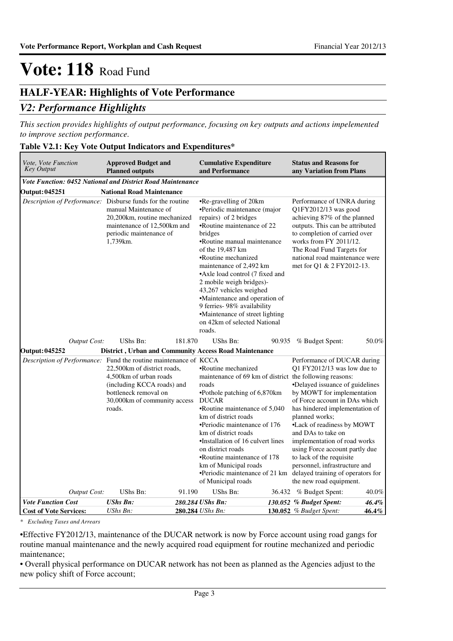## **HALF-YEAR: Highlights of Vote Performance**

## *V2: Performance Highlights*

*This section provides highlights of output performance, focusing on key outputs and actions impelemented to improve section performance.*

### **Table V2.1: Key Vote Output Indicators and Expenditures\***

| <i>Vote, Vote Function</i><br><b>Key Output</b>                  | <b>Approved Budget and</b><br><b>Planned outputs</b>                                                                                                   |         | <b>Cumulative Expenditure</b><br>and Performance                                                                                                                                                                                                                                                                                                                                                                                                                     |        | <b>Status and Reasons for</b><br>any Variation from Plans                                                                                                                                                                                                                                                                                                                                                                      |          |
|------------------------------------------------------------------|--------------------------------------------------------------------------------------------------------------------------------------------------------|---------|----------------------------------------------------------------------------------------------------------------------------------------------------------------------------------------------------------------------------------------------------------------------------------------------------------------------------------------------------------------------------------------------------------------------------------------------------------------------|--------|--------------------------------------------------------------------------------------------------------------------------------------------------------------------------------------------------------------------------------------------------------------------------------------------------------------------------------------------------------------------------------------------------------------------------------|----------|
| Vote Function: 0452 National and District Road Maintenance       |                                                                                                                                                        |         |                                                                                                                                                                                                                                                                                                                                                                                                                                                                      |        |                                                                                                                                                                                                                                                                                                                                                                                                                                |          |
| <b>Output: 045251</b>                                            | <b>National Road Maintenance</b>                                                                                                                       |         |                                                                                                                                                                                                                                                                                                                                                                                                                                                                      |        |                                                                                                                                                                                                                                                                                                                                                                                                                                |          |
| Description of Performance: Disburse funds for the routine       | manual Maintenance of<br>20,200km, routine mechanized<br>maintenance of 12,500km and<br>periodic maintenance of<br>1,739km.                            |         | •Re-gravelling of 20km<br>•Periodic maintenance (major<br>repairs) of 2 bridges<br>•Routine maintenance of 22<br>bridges<br>•Routine manual maintenance<br>of the 19,487 km<br>•Routine mechanized<br>maintenance of 2,492 km<br>•Axle load control (7 fixed and<br>2 mobile weigh bridges)-<br>43,267 vehicles weighed<br>•Maintenance and operation of<br>9 ferries- 98% availability<br>•Maintenance of street lighting<br>on 42km of selected National<br>roads. |        | Performance of UNRA during<br>Q1FY2012/13 was good<br>achieving 87% of the planned<br>outputs. This can be attributed<br>to completion of carried over<br>works from FY 2011/12.<br>The Road Fund Targets for<br>national road maintenance were<br>met for Q1 & 2 FY2012-13.                                                                                                                                                   |          |
| Output Cost:                                                     | UShs Bn:                                                                                                                                               | 181.870 | UShs Bn:                                                                                                                                                                                                                                                                                                                                                                                                                                                             | 90.935 | % Budget Spent:                                                                                                                                                                                                                                                                                                                                                                                                                | 50.0%    |
| <b>Output: 045252</b>                                            |                                                                                                                                                        |         | District, Urban and Community Access Road Maintenance                                                                                                                                                                                                                                                                                                                                                                                                                |        |                                                                                                                                                                                                                                                                                                                                                                                                                                |          |
| Description of Performance: Fund the routine maintenance of KCCA | 22,500km of district roads,<br>4,500km of urban roads<br>(including KCCA roads) and<br>bottleneck removal on<br>30,000km of community access<br>roads. |         | •Routine mechanized<br>maintenance of 69 km of district the following reasons:<br>roads<br>•Pothole patching of 6,870km<br><b>DUCAR</b><br>•Routine maintenance of 5,040<br>km of district roads<br>•Periodic maintenance of 176<br>km of district roads<br>•Installation of 16 culvert lines<br>on district roads<br>•Routine maintenance of 178<br>km of Municipal roads<br>•Periodic maintenance of 21 km delayed training of operators for<br>of Municipal roads |        | Performance of DUCAR during<br>Q1 FY2012/13 was low due to<br>•Delayed issuance of guidelines<br>by MOWT for implementation<br>of Force account in DAs which<br>has hindered implementation of<br>planned works;<br>•Lack of readiness by MOWT<br>and DAs to take on<br>implementation of road works<br>using Force account partly due<br>to lack of the requisite<br>personnel, infrastructure and<br>the new road equipment. |          |
| <b>Output Cost:</b>                                              | UShs Bn:                                                                                                                                               | 91.190  | <b>UShs Bn:</b>                                                                                                                                                                                                                                                                                                                                                                                                                                                      |        | 36.432 % Budget Spent:                                                                                                                                                                                                                                                                                                                                                                                                         | $40.0\%$ |
| <b>Vote Function Cost</b>                                        | <b>UShs Bn:</b>                                                                                                                                        |         | 280.284 UShs Bn:                                                                                                                                                                                                                                                                                                                                                                                                                                                     |        | 130.052 % Budget Spent:                                                                                                                                                                                                                                                                                                                                                                                                        | 46.4%    |
| <b>Cost of Vote Services:</b>                                    | UShs Bn:                                                                                                                                               |         | 280.284 UShs Bn:                                                                                                                                                                                                                                                                                                                                                                                                                                                     |        | 130.052 % Budget Spent:                                                                                                                                                                                                                                                                                                                                                                                                        | 46.4%    |

*\* Excluding Taxes and Arrears*

•Effective FY2012/13, maintenance of the DUCAR network is now by Force account using road gangs for routine manual maintenance and the newly acquired road equipment for routine mechanized and periodic maintenance;

• Overall physical performance on DUCAR network has not been as planned as the Agencies adjust to the new policy shift of Force account;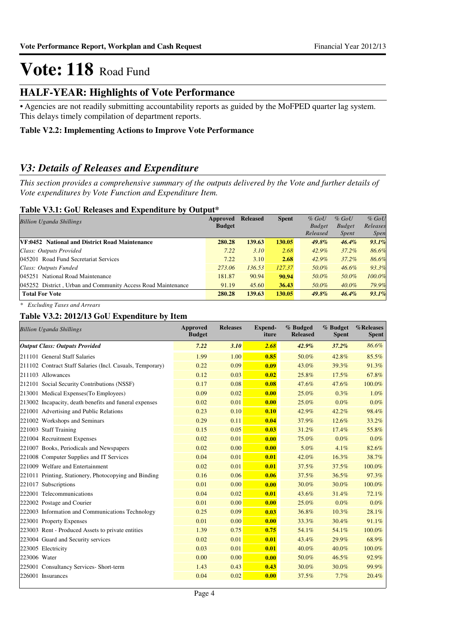## **HALF-YEAR: Highlights of Vote Performance**

• Agencies are not readily submitting accountability reports as guided by the MoFPED quarter lag system. This delays timely compilation of department reports.

#### **Table V2.2: Implementing Actions to Improve Vote Performance**

## *V3: Details of Releases and Expenditure*

*This section provides a comprehensive summary of the outputs delivered by the Vote and further details of Vote expenditures by Vote Function and Expenditure Item.*

### **Table V3.1: GoU Releases and Expenditure by Output\***

| <b>Billion Uganda Shillings</b>                              | Approved      | <b>Released</b> | <b>Spent</b> | $%$ GoU       | $%$ GoU       | $%$ GoU     |
|--------------------------------------------------------------|---------------|-----------------|--------------|---------------|---------------|-------------|
|                                                              | <b>Budget</b> |                 |              | <b>Budget</b> | <b>Budget</b> | Releases    |
|                                                              |               |                 |              | Released      | <i>Spent</i>  | <i>Spen</i> |
| VF:0452 National and District Road Maintenance               | 280.28        | 139.63          | 130.05       | $49.8\%$      | $46.4\%$      | 93.1%       |
| Class: Outputs Provided                                      | 7.22          | 3.10            | 2.68         | 42.9%         | $37.2\%$      | 86.6%       |
| 045201 Road Fund Secretariat Services                        | 7.22          | 3.10            | 2.68         | 42.9%         | $37.2\%$      | 86.6%       |
| Class: Outputs Funded                                        | 273.06        | 136.53          | 127.37       | 50.0%         | $46.6\%$      | 93.3%       |
| 045251 National Road Maintenance                             | 181.87        | 90.94           | 90.94        | 50.0%         | 50.0%         | 100.0%      |
| 045252 District, Urban and Community Access Road Maintenance | 91.19         | 45.60           | 36.43        | 50.0%         | $40.0\%$      | 79.9%       |
| <b>Total For Vote</b>                                        | 280.28        | 139.63          | 130.05       | $49.8\%$      | 46.4%         | 93.1%       |

*\* Excluding Taxes and Arrears*

### **Table V3.2: 2012/13 GoU Expenditure by Item**

| <b>Billion Uganda Shillings</b>                           | <b>Approved</b><br><b>Budget</b> | <b>Releases</b> | <b>Expend-</b><br>iture | % Budged<br><b>Released</b> | % Budget<br><b>Spent</b> | %Releases<br><b>Spent</b> |
|-----------------------------------------------------------|----------------------------------|-----------------|-------------------------|-----------------------------|--------------------------|---------------------------|
| <b>Output Class: Outputs Provided</b>                     | 7.22                             | 3.10            | 2.68                    | $42.9\%$                    | $37.2\%$                 | 86.6%                     |
| 211101 General Staff Salaries                             | 1.99                             | 1.00            | 0.85                    | 50.0%                       | 42.8%                    | 85.5%                     |
| 211102 Contract Staff Salaries (Incl. Casuals, Temporary) | 0.22                             | 0.09            | 0.09                    | 43.0%                       | 39.3%                    | 91.3%                     |
| 211103 Allowances                                         | 0.12                             | 0.03            | 0.02                    | 25.8%                       | 17.5%                    | 67.8%                     |
| 212101 Social Security Contributions (NSSF)               | 0.17                             | 0.08            | 0.08                    | 47.6%                       | 47.6%                    | 100.0%                    |
| 213001 Medical Expenses(To Employees)                     | 0.09                             | 0.02            | 0.00                    | 25.0%                       | 0.3%                     | 1.0%                      |
| 213002 Incapacity, death benefits and funeral expenses    | 0.02                             | 0.01            | 0.00                    | 25.0%                       | $0.0\%$                  | $0.0\%$                   |
| 221001 Advertising and Public Relations                   | 0.23                             | 0.10            | 0.10                    | 42.9%                       | 42.2%                    | 98.4%                     |
| 221002 Workshops and Seminars                             | 0.29                             | 0.11            | 0.04                    | 37.9%                       | 12.6%                    | 33.2%                     |
| 221003 Staff Training                                     | 0.15                             | 0.05            | 0.03                    | 31.2%                       | 17.4%                    | 55.8%                     |
| 221004 Recruitment Expenses                               | 0.02                             | 0.01            | 0.00                    | 75.0%                       | $0.0\%$                  | $0.0\%$                   |
| 221007 Books, Periodicals and Newspapers                  | 0.02                             | 0.00            | 0.00                    | 5.0%                        | 4.1%                     | 82.6%                     |
| 221008 Computer Supplies and IT Services                  | 0.04                             | 0.01            | 0.01                    | 42.0%                       | 16.3%                    | 38.7%                     |
| 221009 Welfare and Entertainment                          | 0.02                             | 0.01            | 0.01                    | 37.5%                       | 37.5%                    | 100.0%                    |
| 221011 Printing, Stationery, Photocopying and Binding     | 0.16                             | 0.06            | 0.06                    | 37.5%                       | 36.5%                    | 97.3%                     |
| 221017 Subscriptions                                      | 0.01                             | 0.00            | 0.00                    | 30.0%                       | 30.0%                    | 100.0%                    |
| 222001 Telecommunications                                 | 0.04                             | 0.02            | 0.01                    | 43.6%                       | 31.4%                    | 72.1%                     |
| 222002 Postage and Courier                                | 0.01                             | 0.00            | 0.00                    | 25.0%                       | $0.0\%$                  | $0.0\%$                   |
| 222003 Information and Communications Technology          | 0.25                             | 0.09            | 0.03                    | 36.8%                       | 10.3%                    | 28.1%                     |
| 223001 Property Expenses                                  | 0.01                             | 0.00            | 0.00                    | 33.3%                       | 30.4%                    | 91.1%                     |
| 223003 Rent - Produced Assets to private entities         | 1.39                             | 0.75            | 0.75                    | 54.1%                       | 54.1%                    | 100.0%                    |
| 223004 Guard and Security services                        | 0.02                             | 0.01            | 0.01                    | 43.4%                       | 29.9%                    | 68.9%                     |
| 223005 Electricity                                        | 0.03                             | 0.01            | 0.01                    | 40.0%                       | 40.0%                    | 100.0%                    |
| 223006 Water                                              | 0.00                             | 0.00            | 0.00                    | 50.0%                       | 46.5%                    | 92.9%                     |
| 225001 Consultancy Services- Short-term                   | 1.43                             | 0.43            | 0.43                    | 30.0%                       | 30.0%                    | 99.9%                     |
| 226001 Insurances                                         | 0.04                             | 0.02            | 0.00                    | 37.5%                       | 7.7%                     | 20.4%                     |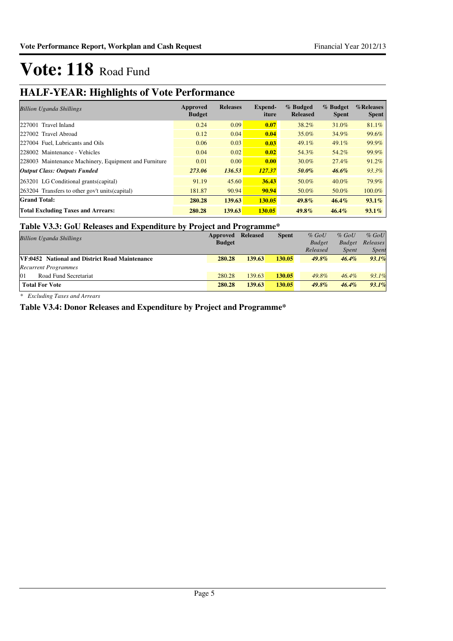## **HALF-YEAR: Highlights of Vote Performance**

| <b>Billion Uganda Shillings</b>                       | Approved<br><b>Budget</b> | <b>Releases</b> | <b>Expend-</b><br>iture | % Budged<br><b>Released</b> | % Budget<br><b>Spent</b> | %Releases<br><b>Spent</b> |
|-------------------------------------------------------|---------------------------|-----------------|-------------------------|-----------------------------|--------------------------|---------------------------|
| 227001 Travel Inland                                  | 0.24                      | 0.09            | 0.07                    | 38.2%                       | 31.0%                    | 81.1%                     |
| 227002 Travel Abroad                                  | 0.12                      | 0.04            | 0.04                    | 35.0%                       | 34.9%                    | 99.6%                     |
| 227004 Fuel. Lubricants and Oils                      | 0.06                      | 0.03            | 0.03                    | 49.1%                       | $49.1\%$                 | 99.9%                     |
| 228002 Maintenance - Vehicles                         | 0.04                      | 0.02            | 0.02                    | 54.3%                       | 54.2%                    | 99.9%                     |
| 228003 Maintenance Machinery, Equipment and Furniture | 0.01                      | 0.00            | 0.00                    | $30.0\%$                    | 27.4%                    | 91.2%                     |
| <b>Output Class: Outputs Funded</b>                   | 273.06                    | 136.53          | 127.37                  | 50.0%                       | $46.6\%$                 | 93.3%                     |
| 263201 LG Conditional grants (capital)                | 91.19                     | 45.60           | 36.43                   | 50.0%                       | $40.0\%$                 | 79.9%                     |
| 263204 Transfers to other gov't units (capital)       | 181.87                    | 90.94           | 90.94                   | 50.0%                       | 50.0%                    | 100.0%                    |
| <b>Grand Total:</b>                                   | 280.28                    | 139.63          | 130.05                  | 49.8%                       | $46.4\%$                 | $93.1\%$                  |
| <b>Total Excluding Taxes and Arrears:</b>             | 280.28                    | 139.63          | 130.05                  | $49.8\%$                    | $46.4\%$                 | $93.1\%$                  |

### **Table V3.3: GoU Releases and Expenditure by Project and Programme\***

| <b>Billion Uganda Shillings</b>                | Approved      | <b>Released</b> | <b>Spent</b> | $%$ GoU       | $%$ GoU       | $%$ GoU      |
|------------------------------------------------|---------------|-----------------|--------------|---------------|---------------|--------------|
|                                                | <b>Budget</b> |                 |              | <b>Budget</b> | <b>Budget</b> | Releases     |
|                                                |               |                 |              | Released      | <i>Spent</i>  | <b>Spent</b> |
| VF:0452 National and District Road Maintenance | 280.28        | 139.63          | 130.05       | $49.8\%$      | $46.4\%$      | 93.1%        |
| <b>Recurrent Programmes</b>                    |               |                 |              |               |               |              |
| 01<br>Road Fund Secretariat                    | 280.28        | 139.63          | 130.05       | 49.8%         | $46.4\%$      | 93.1%        |
| <b>Total For Vote</b>                          | 280.28        | 139.63          | 130.05       | $49.8\%$      | $46.4\%$      | 93.1%        |

*\* Excluding Taxes and Arrears*

### **Table V3.4: Donor Releases and Expenditure by Project and Programme\***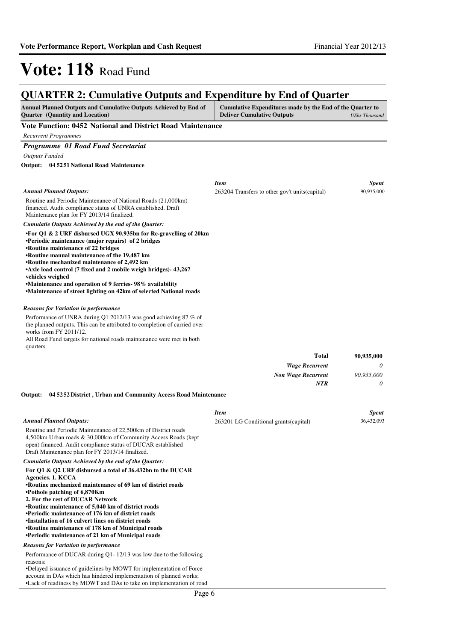| <b>QUARTER 2: Cumulative Outputs and Expenditure by End of Quarter</b>                                                                                                                                                                                                   |                                                                                                |                      |  |  |  |
|--------------------------------------------------------------------------------------------------------------------------------------------------------------------------------------------------------------------------------------------------------------------------|------------------------------------------------------------------------------------------------|----------------------|--|--|--|
| Annual Planned Outputs and Cumulative Outputs Achieved by End of<br><b>Quarter</b> (Quantity and Location)                                                                                                                                                               | Cumulative Expenditures made by the End of the Quarter to<br><b>Deliver Cumulative Outputs</b> | <b>UShs Thousand</b> |  |  |  |
| <b>Vote Function: 0452 National and District Road Maintenance</b>                                                                                                                                                                                                        |                                                                                                |                      |  |  |  |
| <b>Recurrent Programmes</b>                                                                                                                                                                                                                                              |                                                                                                |                      |  |  |  |
| Programme 01 Road Fund Secretariat                                                                                                                                                                                                                                       |                                                                                                |                      |  |  |  |
| <b>Outputs Funded</b>                                                                                                                                                                                                                                                    |                                                                                                |                      |  |  |  |
| Output: 04 5251 National Road Maintenance                                                                                                                                                                                                                                |                                                                                                |                      |  |  |  |
|                                                                                                                                                                                                                                                                          | <b>Item</b>                                                                                    | <b>Spent</b>         |  |  |  |
| <b>Annual Planned Outputs:</b>                                                                                                                                                                                                                                           | 263204 Transfers to other gov't units (capital)                                                | 90,935,000           |  |  |  |
| Routine and Periodic Maintenance of National Roads (21,000km)<br>financed. Audit compliance status of UNRA established. Draft<br>Maintenance plan for FY 2013/14 finalized.                                                                                              |                                                                                                |                      |  |  |  |
| Cumulatie Outputs Achieved by the end of the Quarter:                                                                                                                                                                                                                    |                                                                                                |                      |  |  |  |
| •For Q1 & 2 URF disbursed UGX 90.935bn for Re-gravelling of 20km<br>•Periodic maintenance (major repairs) of 2 bridges<br>•Routine maintenance of 22 bridges<br>•Routine manual maintenance of the 19,487 km                                                             |                                                                                                |                      |  |  |  |
| •Routine mechanized maintenance of 2,492 km<br>•Axle load control (7 fixed and 2 mobile weigh bridges) - 43,267<br>vehicles weighed                                                                                                                                      |                                                                                                |                      |  |  |  |
| •Maintenance and operation of 9 ferries-98% availability<br>•Maintenance of street lighting on 42km of selected National roads                                                                                                                                           |                                                                                                |                      |  |  |  |
| <b>Reasons for Variation in performance</b>                                                                                                                                                                                                                              |                                                                                                |                      |  |  |  |
| Performance of UNRA during Q1 2012/13 was good achieving 87 % of<br>the planned outputs. This can be attributed to completion of carried over<br>works from FY 2011/12.<br>All Road Fund targets for national roads maintenance were met in both                         |                                                                                                |                      |  |  |  |
| quarters.                                                                                                                                                                                                                                                                |                                                                                                |                      |  |  |  |
|                                                                                                                                                                                                                                                                          | Total                                                                                          | 90,935,000           |  |  |  |
|                                                                                                                                                                                                                                                                          | <b>Wage Recurrent</b>                                                                          | 0                    |  |  |  |
|                                                                                                                                                                                                                                                                          | <b>Non Wage Recurrent</b><br>NTR                                                               | 90,935,000<br>0      |  |  |  |
| Output:<br>04 52 52 District, Urban and Community Access Road Maintenance                                                                                                                                                                                                |                                                                                                |                      |  |  |  |
|                                                                                                                                                                                                                                                                          | <b>Item</b>                                                                                    | <b>Spent</b>         |  |  |  |
| <b>Annual Planned Outputs:</b>                                                                                                                                                                                                                                           | 263201 LG Conditional grants (capital)                                                         | 36,432,093           |  |  |  |
| Routine and Periodic Maintenance of 22,500km of District roads<br>4,500km Urban roads & 30,000km of Community Access Roads (kept<br>open) financed. Audit compliance status of DUCAR established<br>Draft Maintenance plan for FY 2013/14 finalized.                     |                                                                                                |                      |  |  |  |
| Cumulatie Outputs Achieved by the end of the Quarter:                                                                                                                                                                                                                    |                                                                                                |                      |  |  |  |
| For Q1 & Q2 URF disbursed a total of 36.432bn to the DUCAR<br>Agencies. 1. KCCA<br>•Routine mechanized maintenance of 69 km of district roads<br>•Pothole patching of 6,870Km<br>2. For the rest of DUCAR Network                                                        |                                                                                                |                      |  |  |  |
| •Routine maintenance of 5,040 km of district roads<br>•Periodic maintenance of 176 km of district roads<br>•Installation of 16 culvert lines on district roads<br>•Routine maintenance of 178 km of Municipal roads<br>•Periodic maintenance of 21 km of Municipal roads |                                                                                                |                      |  |  |  |
| <b>Reasons for Variation in performance</b>                                                                                                                                                                                                                              |                                                                                                |                      |  |  |  |

Performance of DUCAR during Q1- 12/13 was low due to the following reasons:

•Delayed issuance of guidelines by MOWT for implementation of Force account in DAs which has hindered implementation of planned works; •Lack of readiness by MOWT and DAs to take on implementation of road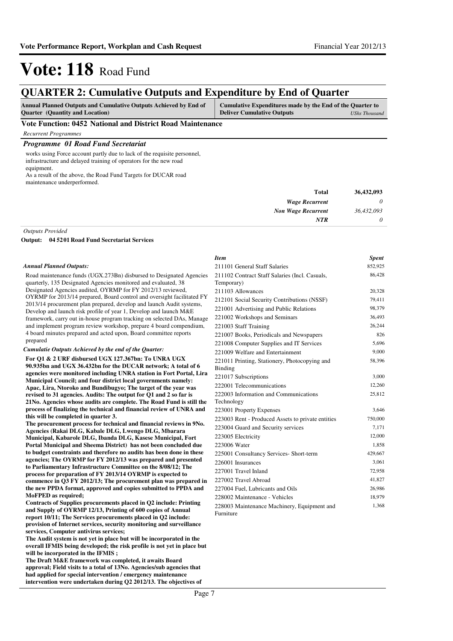## **QUARTER 2: Cumulative Outputs and Expenditure by End of Quarter**

| <b>Annual Planned Outputs and Cumulative Outputs Achieved by End of</b> | Cumulative Expenditures made by the End of the Quarter to |               |
|-------------------------------------------------------------------------|-----------------------------------------------------------|---------------|
| <b>Quarter</b> (Quantity and Location)                                  | <b>Deliver Cumulative Outputs</b>                         | UShs Thousand |

#### **Vote Function: 0452 National and District Road Maintenance**

*Recurrent Programmes*

#### *Programme 01 Road Fund Secretariat*

works using Force account partly due to lack of the requisite personnel, infrastructure and delayed training of operators for the new road equipment.

As a result of the above, the Road Fund Targets for DUCAR road maintenance underperformed.

| 36,432,093      | <b>Total</b>              |
|-----------------|---------------------------|
| 0               | <b>Wage Recurrent</b>     |
| 36,432,093      | <b>Non Wage Recurrent</b> |
| 0<br><b>NTR</b> |                           |

*Outputs Provided*

**04 5201 Road Fund Secretariat Services Output:**

#### *Annual Planned Outputs:*

Road maintenance funds (UGX.273Bn) disbursed to Designated Agencies quarterly, 135 Designated Agencies monitored and evaluated, 38 Designated Agencies audited, OYRMP for FY 2012/13 reviewed, OYRMP for 2013/14 prepared, Board control and oversight facilitated FY 2013/14 procurement plan prepared, develop and launch Audit systems, Develop and launch risk profile of year 1, Develop and launch M&E framework, carry out in-house program tracking on selected DAs, Manage and implement program review workshop, prepare 4 board compendium, 4 board minutes prepared and acted upon, Board committee reports prepared

#### *Cumulatie Outputs Achieved by the end of the Quarter:*

**For Q1 & 2 URF disbursed UGX 127.367bn: To UNRA UGX 90.935bn and UGX 36.432bn for the DUCAR network; A total of 6 agencies were monitored including UNRA station in Fort Portal, Lira Municipal Council; and four district local governments namely: Apac, Lira, Ntoroko and Bundibugyo; The target of the year was revised to 31 agencies. Audits: The output for Q1 and 2 so far is 21No. Agencies whose audits are complete. The Road Fund is still the process of finalizing the technical and financial review of UNRA and this will be completed in quarter 3.**

**The procurement process for technical and financial reviews in 9No. Agencies (Rakai DLG, Kabale DLG, Lwengo DLG, Mbarara Municipal, Kabarole DLG, Ibanda DLG, Kasese Municipal, Fort Portal Municipal and Sheema District) has not been concluded due to budget constraints and therefore no audits has been done in these**  agencies; The OYRMP for **FY 2012/13 was prepared and presented to Parliamentary Infrastructure Committee on the 8/08/12; The process for preparation of FY 2013/14 OYRMP is expected to commence in Q3 FY 2012/13; The procurement plan was prepared in the new PPDA format, approved and copies submitted to PPDA and MoFPED as required;**

**Contracts of Supplies procurements placed in Q2 include: Printing and Supply of OYRMP 12/13, Printing of 600 copies of Annual report 10/11; The Services procurements placed in Q2 include: provision of Internet services, security monitoring and surveillance services, Computer antivirus services;**

**The Audit system is not yet in place but will be incorporated in the overall IFMIS being developed; the risk profile is not yet in place but will be incorporated in the IFMIS ;**

**The Draft M&E framework was completed, it awaits Board approval; Field visits to a total of 13No. Agencies/sub agencies that had applied for special intervention / emergency maintenance intervention were undertaken during Q2 2012/13. The objectives of** 

| <b>Item</b>                                       | <b>Spent</b> |
|---------------------------------------------------|--------------|
| 211101 General Staff Salaries                     | 852,925      |
| 211102 Contract Staff Salaries (Incl. Casuals,    | 86,428       |
| Temporary)                                        |              |
| 211103 Allowances                                 | 20,328       |
| 212101 Social Security Contributions (NSSF)       | 79,411       |
| 221001 Advertising and Public Relations           | 98,379       |
| 221002 Workshops and Seminars                     | 36,493       |
| 221003 Staff Training                             | 26.244       |
| 221007 Books, Periodicals and Newspapers          | 826          |
| 221008 Computer Supplies and IT Services          | 5,696        |
| 221009 Welfare and Entertainment                  | 9.000        |
| 221011 Printing, Stationery, Photocopying and     | 58,396       |
| Binding                                           |              |
| 221017 Subscriptions                              | 3,000        |
| 222001 Telecommunications                         | 12,260       |
| 222003 Information and Communications             | 25,812       |
| Technology                                        |              |
| 223001 Property Expenses                          | 3,646        |
| 223003 Rent - Produced Assets to private entities | 750,000      |
| 223004 Guard and Security services                | 7,171        |
| 223005 Electricity                                | 12,000       |
| 223006 Water                                      | 1,858        |
| 225001 Consultancy Services- Short-term           | 429,667      |
| 226001 Insurances                                 | 3.061        |
| 227001 Travel Inland                              | 72,958       |
| 227002 Travel Abroad                              | 41,827       |
| 227004 Fuel. Lubricants and Oils                  | 26,986       |
| 228002 Maintenance - Vehicles                     | 18,979       |
| 228003 Maintenance Machinery, Equipment and       | 1,368        |
| Furniture                                         |              |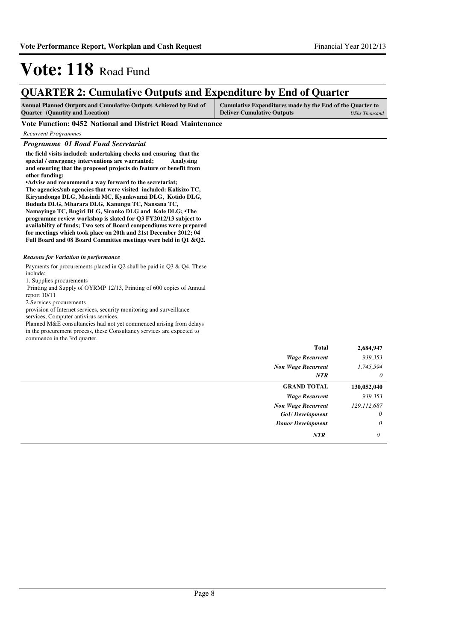*Non Wage Recurrent*

*GoU Development Donor Development* *129,112,687*

*NTR 0*

*0 0*

# $Vote: 118$  Road Fund

## **QUARTER 2: Cumulative Outputs and Expenditure by End of Quarter**

| <b>Annual Planned Outputs and Cumulative Outputs Achieved by End of</b> | Cumulative Expenditures made by the End of the Quarter to |               |
|-------------------------------------------------------------------------|-----------------------------------------------------------|---------------|
| <b>Quarter</b> (Quantity and Location)                                  | <b>Deliver Cumulative Outputs</b>                         | UShs Thousand |

### **Vote Function: 0452 National and District Road Maintenance**

*Recurrent Programmes*

| Programme 01 Road Fund Secretariat                                                                                                                                                                                                                                                                                                                                                                                                                                                                                                                                                                                                                                                                                                                                                                                         |                           |             |
|----------------------------------------------------------------------------------------------------------------------------------------------------------------------------------------------------------------------------------------------------------------------------------------------------------------------------------------------------------------------------------------------------------------------------------------------------------------------------------------------------------------------------------------------------------------------------------------------------------------------------------------------------------------------------------------------------------------------------------------------------------------------------------------------------------------------------|---------------------------|-------------|
| the field visits included: undertaking checks and ensuring that the<br>special / emergency interventions are warranted;<br>Analysing<br>and ensuring that the proposed projects do feature or benefit from<br>other funding:<br>•Advise and recommend a way forward to the secretariat;<br>The agencies/sub agencies that were visited included: Kalisizo TC,<br>Kiryandongo DLG, Masindi MC, Kyankwanzi DLG, Kotido DLG,<br>Bududa DLG, Mbarara DLG, Kanungu TC, Nansana TC,<br>Namayingo TC, Bugiri DLG, Sironko DLG and Kole DLG; .The<br>programme review workshop is slated for Q3 FY2012/13 subject to<br>availability of funds; Two sets of Board compendiums were prepared<br>for meetings which took place on 20th and 21st December 2012; 04<br>Full Board and 08 Board Committee meetings were held in Q1 & Q2. |                           |             |
| <b>Reasons for Variation in performance</b>                                                                                                                                                                                                                                                                                                                                                                                                                                                                                                                                                                                                                                                                                                                                                                                |                           |             |
| Payments for procurements placed in Q2 shall be paid in Q3 & Q4. These<br>include:<br>1. Supplies procurements<br>Printing and Supply of OYRMP 12/13, Printing of 600 copies of Annual<br>report 10/11                                                                                                                                                                                                                                                                                                                                                                                                                                                                                                                                                                                                                     |                           |             |
| 2. Services procurements<br>provision of Internet services, security monitoring and surveillance                                                                                                                                                                                                                                                                                                                                                                                                                                                                                                                                                                                                                                                                                                                           |                           |             |
| services, Computer antivirus services.                                                                                                                                                                                                                                                                                                                                                                                                                                                                                                                                                                                                                                                                                                                                                                                     |                           |             |
| Planned M&E consultancies had not yet commenced arising from delays<br>in the procurement process, these Consultancy services are expected to                                                                                                                                                                                                                                                                                                                                                                                                                                                                                                                                                                                                                                                                              |                           |             |
| commence in the 3rd quarter.                                                                                                                                                                                                                                                                                                                                                                                                                                                                                                                                                                                                                                                                                                                                                                                               |                           |             |
|                                                                                                                                                                                                                                                                                                                                                                                                                                                                                                                                                                                                                                                                                                                                                                                                                            | <b>Total</b>              | 2,684,947   |
|                                                                                                                                                                                                                                                                                                                                                                                                                                                                                                                                                                                                                                                                                                                                                                                                                            | <b>Wage Recurrent</b>     | 939,353     |
|                                                                                                                                                                                                                                                                                                                                                                                                                                                                                                                                                                                                                                                                                                                                                                                                                            | <b>Non Wage Recurrent</b> | 1,745,594   |
|                                                                                                                                                                                                                                                                                                                                                                                                                                                                                                                                                                                                                                                                                                                                                                                                                            | NTR                       | $\theta$    |
|                                                                                                                                                                                                                                                                                                                                                                                                                                                                                                                                                                                                                                                                                                                                                                                                                            | <b>GRAND TOTAL</b>        | 130,052,040 |
|                                                                                                                                                                                                                                                                                                                                                                                                                                                                                                                                                                                                                                                                                                                                                                                                                            | <b>Wage Recurrent</b>     | 939,353     |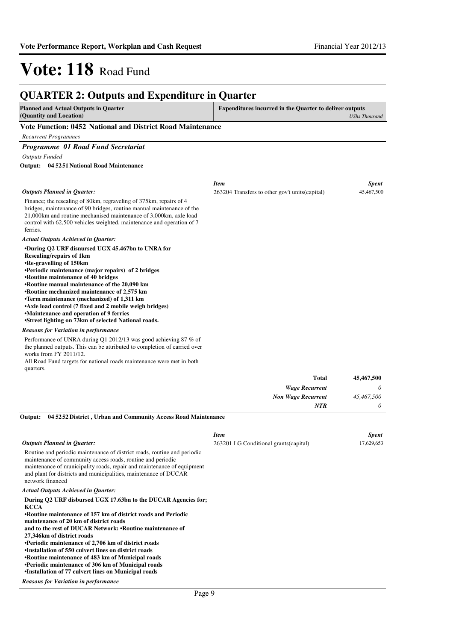| <b>QUARTER 2: Outputs and Expenditure in Quarter</b>                                                                                                                                                                                                                                                                                                                                                                                                                                                                    |                                                                |                            |
|-------------------------------------------------------------------------------------------------------------------------------------------------------------------------------------------------------------------------------------------------------------------------------------------------------------------------------------------------------------------------------------------------------------------------------------------------------------------------------------------------------------------------|----------------------------------------------------------------|----------------------------|
| <b>Planned and Actual Outputs in Quarter</b><br>(Quantity and Location)                                                                                                                                                                                                                                                                                                                                                                                                                                                 | <b>Expenditures incurred in the Quarter to deliver outputs</b> | <b>UShs Thousand</b>       |
| Vote Function: 0452 National and District Road Maintenance                                                                                                                                                                                                                                                                                                                                                                                                                                                              |                                                                |                            |
| <b>Recurrent Programmes</b>                                                                                                                                                                                                                                                                                                                                                                                                                                                                                             |                                                                |                            |
| Programme 01 Road Fund Secretariat                                                                                                                                                                                                                                                                                                                                                                                                                                                                                      |                                                                |                            |
| <b>Outputs Funded</b>                                                                                                                                                                                                                                                                                                                                                                                                                                                                                                   |                                                                |                            |
| Output: 04 5251 National Road Maintenance                                                                                                                                                                                                                                                                                                                                                                                                                                                                               |                                                                |                            |
|                                                                                                                                                                                                                                                                                                                                                                                                                                                                                                                         |                                                                |                            |
|                                                                                                                                                                                                                                                                                                                                                                                                                                                                                                                         | <b>Item</b>                                                    | <b>Spent</b><br>45,467,500 |
| <b>Outputs Planned in Quarter:</b><br>Finance; the resealing of 80km, regraveling of 375km, repairs of 4                                                                                                                                                                                                                                                                                                                                                                                                                | 263204 Transfers to other gov't units (capital)                |                            |
| bridges, maintenance of 90 bridges, routine manual maintenance of the<br>21,000km and routine mechanised maintenance of 3,000km, axle load<br>control with 62,500 vehicles weighted, maintenance and operation of 7<br>ferries.                                                                                                                                                                                                                                                                                         |                                                                |                            |
| <b>Actual Outputs Achieved in Quarter:</b>                                                                                                                                                                                                                                                                                                                                                                                                                                                                              |                                                                |                            |
| •During Q2 URF disnursed UGX 45.467bn to UNRA for<br><b>Resealing/repairs of 1km</b><br>•Re-gravelling of 150km<br>•Periodic maintenance (major repairs) of 2 bridges<br>•Routine maintenance of 40 bridges<br>•Routine manual maintenance of the 20,090 km<br>•Routine mechanized maintenance of 2,575 km<br>•Term maintenance (mechanized) of 1,311 km<br>• Axle load control (7 fixed and 2 mobile weigh bridges)<br>•Maintenance and operation of 9 ferries<br>•Street lighting on 73km of selected National roads. |                                                                |                            |
| <b>Reasons for Variation in performance</b>                                                                                                                                                                                                                                                                                                                                                                                                                                                                             |                                                                |                            |
| Performance of UNRA during Q1 2012/13 was good achieving 87 % of<br>the planned outputs. This can be attributed to completion of carried over<br>works from FY 2011/12.<br>All Road Fund targets for national roads maintenance were met in both<br>quarters.                                                                                                                                                                                                                                                           |                                                                |                            |
|                                                                                                                                                                                                                                                                                                                                                                                                                                                                                                                         | Total                                                          | 45,467,500                 |
|                                                                                                                                                                                                                                                                                                                                                                                                                                                                                                                         | <b>Wage Recurrent</b>                                          | 0                          |
|                                                                                                                                                                                                                                                                                                                                                                                                                                                                                                                         | <b>Non Wage Recurrent</b>                                      | 45,467,500                 |
|                                                                                                                                                                                                                                                                                                                                                                                                                                                                                                                         | <b>NTR</b>                                                     | 0                          |
| 04 5252 District, Urban and Community Access Road Maintenance<br>Output:                                                                                                                                                                                                                                                                                                                                                                                                                                                |                                                                |                            |
|                                                                                                                                                                                                                                                                                                                                                                                                                                                                                                                         |                                                                |                            |
|                                                                                                                                                                                                                                                                                                                                                                                                                                                                                                                         | <b>Item</b>                                                    | <b>Spent</b>               |
| <b>Outputs Planned in Quarter:</b><br>Routine and periodic maintenance of district roads, routine and periodic<br>maintenance of community access roads, routine and periodic<br>maintenance of municipality roads, repair and maintenance of equipment<br>and plant for districts and municipalities, maintenance of DUCAR<br>network financed                                                                                                                                                                         | 263201 LG Conditional grants (capital)                         | 17,629,653                 |
| <b>Actual Outputs Achieved in Quarter:</b>                                                                                                                                                                                                                                                                                                                                                                                                                                                                              |                                                                |                            |
| During Q2 URF disbursed UGX 17.63bn to the DUCAR Agencies for;<br><b>KCCA</b><br>•Routine maintenance of 157 km of district roads and Periodic<br>maintenance of 20 km of district roads<br>and to the rest of DUCAR Network: .Routine maintenance of<br>27,346km of district roads<br>•Periodic maintenance of 2,706 km of district roads                                                                                                                                                                              |                                                                |                            |
| •Installation of 550 culvert lines on district roads<br>•Routine maintenance of 483 km of Municipal roads<br>•Periodic maintenance of 306 km of Municipal roads<br>•Installation of 77 culvert lines on Municipal roads                                                                                                                                                                                                                                                                                                 |                                                                |                            |

*Reasons for Variation in performance*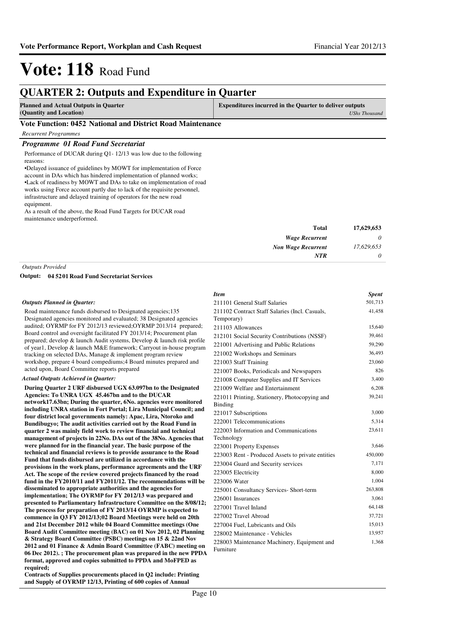#### **QUARTER 2: Outputs and Expenditure in Quarter Planned and Actual Outputs in Quarter (Quantity and Location) Expenditures incurred in the Quarter to deliver outputs**  *UShs Thousand* **Vote Function: 0452 National and District Road Maintenance** *Recurrent Programmes Programme 01 Road Fund Secretariat*

Performance of DUCAR during Q1- 12/13 was low due to the following reasons:

•Delayed issuance of guidelines by MOWT for implementation of Force account in DAs which has hindered implementation of planned works; •Lack of readiness by MOWT and DAs to take on implementation of road works using Force account partly due to lack of the requisite personnel, infrastructure and delayed training of operators for the new road equipment.

As a result of the above, the Road Fund Targets for DUCAR road maintenance underperformed.

| <b>Total</b>              | 17,629,653 |
|---------------------------|------------|
| <b>Wage Recurrent</b>     | 0          |
| <b>Non Wage Recurrent</b> | 17,629,653 |
| <b>NTR</b>                | 0          |
|                           |            |

*Outputs Provided*

**04 5201 Road Fund Secretariat Services Output:**

#### *Outputs Planned in Quarter:*

Road maintenance funds disbursed to Designated agencies;135 Designated agencies monitored and evaluated; 38 Designated agencies audited; OYRMP for FY 2012/13 reviewed;OYRMP 2013/14 prepared; Board control and oversight facilitated FY 2013/14; Procurement plan prepared; develop & launch Audit systems, Develop & launch risk profile of year1, Develop & launch M&E framework; Carryout in-house program tracking on selected DAs, Manage & implement program review workshop, prepare 4 board compediums;4 Board minutes prepared and acted upon, Board Committee reports prepared

#### *Actual Outputs Achieved in Quarter:*

**During Quarter 2 URF disbursed UGX 63.097bn to the Designated Agencies: To UNRA UGX 45.467bn and to the DUCAR network17.63bn; During the quarter, 6No. agencies were monitored including UNRA station in Fort Portal; Lira Municipal Council; and four district local governments namely: Apac, Lira, Ntoroko and Bundibugyo; The audit activities carried out by the Road Fund in quarter 2 was mainly field work to review financial and technical management of projects in 22No. DAs out of the 38No. Agencies that were planned for in the financial year. The basic purpose of the technical and financial reviews is to provide assurance to the Road Fund that funds disbursed are utilized in accordance with the provisions in the work plans, performance agreements and the URF Act. The scope of the review covered projects financed by the road fund in the FY2010/11 and FY2011/12. The recommendations will be disseminated to appropriate authorities and the agencies for**  implementation; The OYRMP for **FY 2012/13 was prepared and presented to Parliamentary Infrastructure Committee on the 8/08/12; The process for preparation of FY 2013/14 OYRMP is expected to commence in Q3 FY 2012/13;02 Board Meetings were held on 20th and 21st December 2012 while 04 Board Committee meetings (One Board Audit Committee meeting (BAC) on 01 Nov 2012, 02 Planning & Strategy Board Committee (PSBC) meetings on 15 & 22nd Nov 2012 and 01 Finance & Admin Board Committee (FABC) meeting on 06 Dec 2012). ; The procurement plan was prepared in the new PPDA format, approved and copies submitted to PPDA and MoFPED as required;**

**Contracts of Supplies procurements placed in Q2 include: Printing and Supply of OYRMP 12/13, Printing of 600 copies of Annual** 

| <b>Spent</b> |
|--------------|
| 501,713      |
| 41,458       |
|              |
| 15,640       |
| 39,461       |
| 59,290       |
| 36,493       |
| 23,060       |
| 826          |
| 3,400        |
| 6,208        |
| 39,241       |
|              |
| 3,000        |
| 5,314        |
| 23,611       |
|              |
| 3,646        |
| 450,000      |
| 7,171        |
| 8,000        |
| 1,004        |
| 263,808      |
| 3,061        |
| 64,148       |
| 37,721       |
| 15,013       |
| 13,957       |
| 1,368        |
|              |
|              |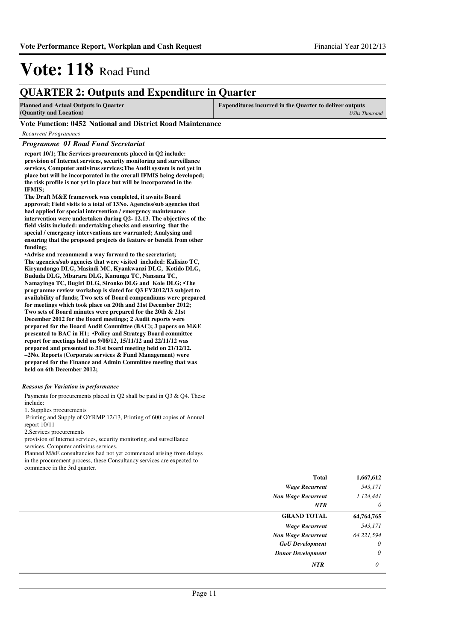### **QUARTER 2: Outputs and Expenditure in Quarter**

**Planned and Actual Outputs in Quarter (Quantity and Location)**

**Expenditures incurred in the Quarter to deliver outputs**  *UShs Thousand*

**Total** 

**1,667,612**

#### **Vote Function: 0452 National and District Road Maintenance**

*Recurrent Programmes*

#### *Programme 01 Road Fund Secretariat*

**report 10/1; The Services procurements placed in Q2 include: provision of Internet services, security monitoring and surveillance services, Computer antivirus services;The Audit system is not yet in place but will be incorporated in the overall IFMIS being developed; the risk profile is not yet in place but will be incorporated in the IFMIS;**

**The Draft M&E framework was completed, it awaits Board approval; Field visits to a total of 13No. Agencies/sub agencies that had applied for special intervention / emergency maintenance intervention were undertaken during Q2- 12.13. The objectives of the field visits included: undertaking checks and ensuring that the special / emergency interventions are warranted; Analysing and ensuring that the proposed projects do feature or benefit from other funding;**

**•** Advise and recommend a way forward to the secretariat; **The agencies/sub agencies that were visited included: Kalisizo TC, Kiryandongo DLG, Masindi MC, Kyankwanzi DLG, Kotido DLG, Bududa DLG, Mbarara DLG, Kanungu TC, Nansana TC,**  Namayingo TC, Bugiri DLG, Sironko DLG and Kole DLG; •**The programme review workshop is slated for Q3 FY2012/13 subject to availability of funds; Two sets of Board compendiums were prepared for meetings which took place on 20th and 21st December 2012; Two sets of Board minutes were prepared for the 20th & 21st December 2012 for the Board meetings; 2 Audit reports were prepared for the Board Audit Committee (BAC); 3 papers on M&E**  presented to BAC in H1; • **Policy and Strategy Board committee report for meetings held on 9/08/12, 15/11/12 and 22/11/12 was prepared and presented to 31st board meeting held on 21/12/12. –2No. Reports (Corporate services & Fund Management) were prepared for the Finance and Admin Committee meeting that was held on 6th December 2012;**

#### *Reasons for Variation in performance*

Payments for procurements placed in Q2 shall be paid in Q3 & Q4. These include:

1. Supplies procurements

 Printing and Supply of OYRMP 12/13, Printing of 600 copies of Annual report 10/11

2.Services procurements

provision of Internet services, security monitoring and surveillance services, Computer antivirus services.

Planned M&E consultancies had not yet commenced arising from delays in the procurement process, these Consultancy services are expected to commence in the 3rd quarter.

| TOTAL                     | 1,007,012  |
|---------------------------|------------|
| <b>Wage Recurrent</b>     | 543,171    |
| <b>Non Wage Recurrent</b> | 1,124,441  |
| <b>NTR</b>                | $\theta$   |
| <b>GRAND TOTAL</b>        | 64,764,765 |
| <b>Wage Recurrent</b>     | 543,171    |
| <b>Non Wage Recurrent</b> | 64,221,594 |
| <b>GoU</b> Development    | $\theta$   |
| <b>Donor Development</b>  | $\theta$   |
| <b>NTR</b>                | 0          |
|                           |            |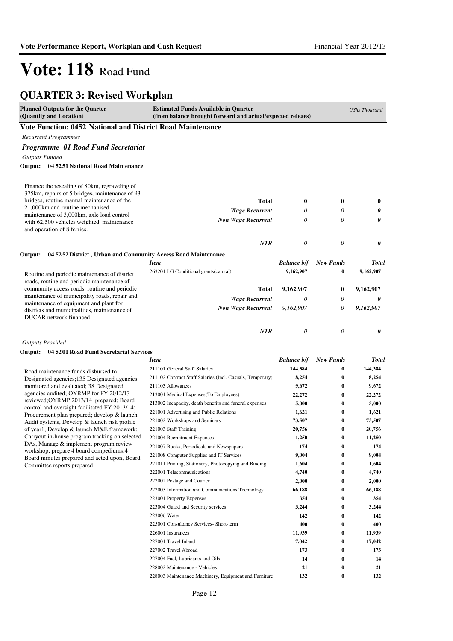| <b>Planned Outputs for the Quarter</b><br>(Quantity and Location)                                                       | <b>Estimated Funds Available in Quarter</b><br>(from balance brought forward and actual/expected releaes) |                    | <b>UShs Thousand</b> |           |
|-------------------------------------------------------------------------------------------------------------------------|-----------------------------------------------------------------------------------------------------------|--------------------|----------------------|-----------|
| <b>Vote Function: 0452 National and District Road Maintenance</b>                                                       |                                                                                                           |                    |                      |           |
| <b>Recurrent Programmes</b>                                                                                             |                                                                                                           |                    |                      |           |
| Programme 01 Road Fund Secretariat                                                                                      |                                                                                                           |                    |                      |           |
| <b>Outputs Funded</b>                                                                                                   |                                                                                                           |                    |                      |           |
| <b>Output:</b> 04 5251 National Road Maintenance                                                                        |                                                                                                           |                    |                      |           |
| Finance the resealing of 80km, regraveling of<br>375km, repairs of 5 bridges, maintenance of 93                         |                                                                                                           |                    |                      |           |
| bridges, routine manual maintenance of the                                                                              | <b>Total</b>                                                                                              | $\mathbf{0}$       | 0                    | 0         |
| 21,000km and routine mechanised<br>maintenance of 3,000km, axle load control                                            | <b>Wage Recurrent</b>                                                                                     | 0                  | 0                    | 0         |
| with 62,500 vehicles weighted, maintenance<br>and operation of 8 ferries.                                               | <b>Non Wage Recurrent</b>                                                                                 | 0                  | 0                    | 0         |
|                                                                                                                         | NTR                                                                                                       | $\theta$           | $\theta$             | 0         |
| 04 5252 District, Urban and Community Access Road Maintenance<br>Output:                                                |                                                                                                           |                    |                      |           |
|                                                                                                                         | <b>Item</b>                                                                                               | <b>Balance b/f</b> | <b>New Funds</b>     | Total     |
| Routine and periodic maintenance of district<br>roads, routine and periodic maintenance of                              | 263201 LG Conditional grants (capital)                                                                    | 9,162,907          | $\bf{0}$             | 9,162,907 |
| community access roads, routine and periodic                                                                            | <b>Total</b>                                                                                              | 9,162,907          | $\bf{0}$             | 9,162,907 |
| maintenance of municipality roads, repair and                                                                           | <b>Wage Recurrent</b>                                                                                     | 0                  | 0                    | 0         |
| maintenance of equipment and plant for<br>districts and municipalities, maintenance of<br><b>DUCAR</b> network financed | <b>Non Wage Recurrent</b>                                                                                 | 9,162,907          | 0                    | 9,162,907 |
|                                                                                                                         | <b>NTR</b>                                                                                                | $\theta$           | 0                    | 0         |

#### *Outputs Provided*

#### **Output: 04 5201 Road Fund Secretariat Services**

Road maintenance funds disbursed to Designated agencies;135 Designated agencies monitored and evaluated; 38 Designated agencies audited; OYRMP for FY 2012 reviewed;OYRMP 2013/14 prepared; control and oversight facilitated FY 201 Procurement plan prepared; develop  $\&$ Audit systems, Develop & launch risk  $p$ of year1, Develop & launch M&E frame Carryout in-house program tracking on DAs, Manage & implement program rev workshop, prepare 4 board compediums Board minutes prepared and acted upon Committee reports prepared

|                  | <b>Item</b>                                               | <b>Balance b/f</b> New Funds |          | <b>Total</b> |
|------------------|-----------------------------------------------------------|------------------------------|----------|--------------|
|                  | 211101 General Staff Salaries                             | 144,384                      | 0        | 144,384      |
| zencies          | 211102 Contract Staff Salaries (Incl. Casuals, Temporary) | 8,254                        | 0        | 8,254        |
| d                | 211103 Allowances                                         | 9,672                        | $\bf{0}$ | 9,672        |
| 2/13             | 213001 Medical Expenses(To Employees)                     | 22,272                       | 0        | 22,272       |
| Board            | 213002 Incapacity, death benefits and funeral expenses    | 5,000                        | 0        | 5,000        |
| 13/14:<br>launch | 221001 Advertising and Public Relations                   | 1,621                        | $\bf{0}$ | 1,621        |
| orofile          | 221002 Workshops and Seminars                             | 73,507                       | 0        | 73,507       |
| ework:           | 221003 Staff Training                                     | 20.756                       | 0        | 20,756       |
| selected         | 221004 Recruitment Expenses                               | 11,250                       | $\bf{0}$ | 11,250       |
| view             | 221007 Books, Periodicals and Newspapers                  | 174                          | $\bf{0}$ | 174          |
| s;4<br>n, Board  | 221008 Computer Supplies and IT Services                  | 9,004                        | 0        | 9,004        |
|                  | 221011 Printing, Stationery, Photocopying and Binding     | 1,604                        | 0        | 1,604        |
|                  | 222001 Telecommunications                                 | 4,740                        | $\bf{0}$ | 4,740        |
|                  | 222002 Postage and Courier                                | 2,000                        | 0        | 2,000        |
|                  | 222003 Information and Communications Technology          | 66,188                       | 0        | 66,188       |
|                  | 223001 Property Expenses                                  | 354                          | $\bf{0}$ | 354          |
|                  | 223004 Guard and Security services                        | 3,244                        | 0        | 3,244        |
|                  | 223006 Water                                              | 142                          | 0        | 142          |
|                  | 225001 Consultancy Services- Short-term                   | 400                          | 0        | 400          |
|                  | 226001 Insurances                                         | 11,939                       | 0        | 11,939       |
|                  | 227001 Travel Inland                                      | 17,042                       | 0        | 17,042       |
|                  | 227002 Travel Abroad                                      | 173                          | 0        | 173          |
|                  | 227004 Fuel, Lubricants and Oils                          | 14                           | 0        | 14           |
|                  | 228002 Maintenance - Vehicles                             | 21                           | 0        | 21           |
|                  | 228003 Maintenance Machinery, Equipment and Furniture     | 132                          | $\bf{0}$ | 132          |
|                  |                                                           |                              |          |              |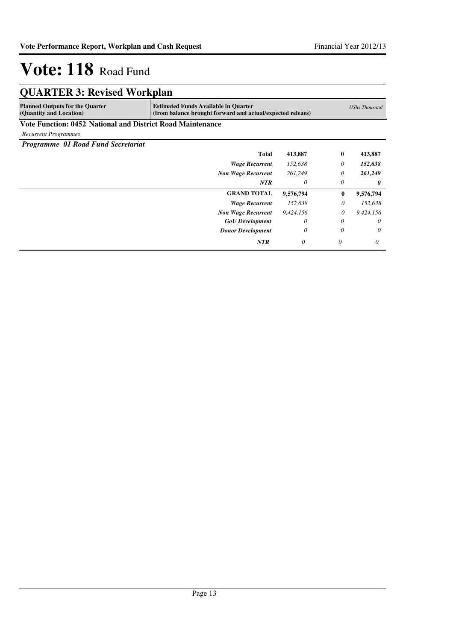## **QUARTER 3: Revised Workplan**

| <b>Planned Outputs for the Quarter</b><br>(Quantity and Location) | <b>Estimated Funds Available in Quarter</b><br>(from balance brought forward and actual/expected releaes) |           |          | <b>UShs Thousand</b> |
|-------------------------------------------------------------------|-----------------------------------------------------------------------------------------------------------|-----------|----------|----------------------|
| <b>Vote Function: 0452 National and District Road Maintenance</b> |                                                                                                           |           |          |                      |
| <b>Recurrent Programmes</b>                                       |                                                                                                           |           |          |                      |
| Programme 01 Road Fund Secretariat                                |                                                                                                           |           |          |                      |
|                                                                   | <b>Total</b>                                                                                              | 413,887   | $\bf{0}$ | 413,887              |
|                                                                   | <b>Wage Recurrent</b>                                                                                     | 152,638   | 0        | 152,638              |
|                                                                   | <b>Non Wage Recurrent</b>                                                                                 | 261,249   | 0        | 261,249              |
|                                                                   | <b>NTR</b>                                                                                                | $\theta$  | $\theta$ | 0                    |
|                                                                   | <b>GRAND TOTAL</b>                                                                                        | 9,576,794 | $\bf{0}$ | 9,576,794            |
|                                                                   | <b>Wage Recurrent</b>                                                                                     | 152,638   | 0        | 152,638              |
|                                                                   | <b>Non Wage Recurrent</b>                                                                                 | 9,424,156 | 0        | 9,424,156            |
|                                                                   | <b>GoU</b> Development                                                                                    | 0         | 0        | $\theta$             |
|                                                                   | <b>Donor Development</b>                                                                                  | 0         | 0        | $\theta$             |
|                                                                   | <b>NTR</b>                                                                                                | 0         | 0        | $\theta$             |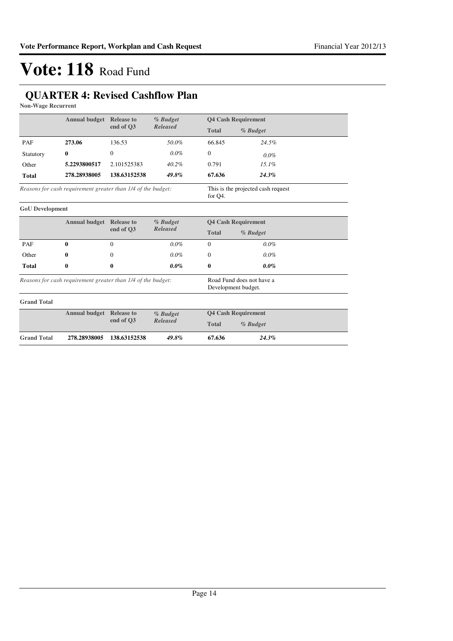## **QUARTER 4: Revised Cashflow Plan**

**Non-Wage Recurrent**

|                                                              | <b>Annual budget</b> Release to             |              | % Budget                                      | <b>Q4 Cash Requirement</b>                       |                            |
|--------------------------------------------------------------|---------------------------------------------|--------------|-----------------------------------------------|--------------------------------------------------|----------------------------|
|                                                              |                                             | end of O3    | <b>Released</b>                               | <b>Total</b>                                     | % Budget                   |
| <b>PAF</b>                                                   | 273.06                                      | 136.53       | 50.0%                                         | 66.845                                           | 24.5%                      |
| Statutory                                                    | 0                                           | $\Omega$     | $0.0\%$                                       | $\theta$                                         | $0.0\%$                    |
| Other                                                        | 5.2293800517                                | 2.101525383  | 40.2%                                         | 0.791                                            | $15.1\%$                   |
| <b>Total</b>                                                 | 278.28938005                                | 138.63152538 | 49.8%                                         | 67.636                                           | 24.3%                      |
| Reasons for cash requirement greater than 1/4 of the budget: |                                             |              | This is the projected cash request<br>for Q4. |                                                  |                            |
| <b>GoU</b> Development                                       |                                             |              |                                               |                                                  |                            |
|                                                              | <b>Annual budget</b> Release to             | % Budget     |                                               | <b>Q4 Cash Requirement</b>                       |                            |
|                                                              |                                             | end of O3    | <b>Released</b>                               | <b>Total</b>                                     | % Budget                   |
| PAF                                                          | 0                                           | $\Omega$     | $0.0\%$                                       | $\Omega$                                         | $0.0\%$                    |
| Other                                                        | 0                                           | 0            | $0.0\%$                                       | $\Omega$                                         | $0.0\%$                    |
| <b>Total</b>                                                 | 0                                           | $\bf{0}$     | $0.0\%$                                       | 0                                                | $0.0\%$                    |
| Reasons for cash requirement greater than 1/4 of the budget: |                                             |              |                                               | Road Fund does not have a<br>Development budget. |                            |
| <b>Grand Total</b>                                           |                                             |              |                                               |                                                  |                            |
|                                                              | <b>Annual budget</b> Release to<br>% Budget |              |                                               |                                                  | <b>Q4 Cash Requirement</b> |
|                                                              |                                             | end of O3    | <b>Released</b>                               | <b>Total</b>                                     | % Budget                   |
| <b>Grand Total</b>                                           | 278.28938005                                | 138.63152538 | 49.8%                                         | 67.636                                           | 24.3%                      |